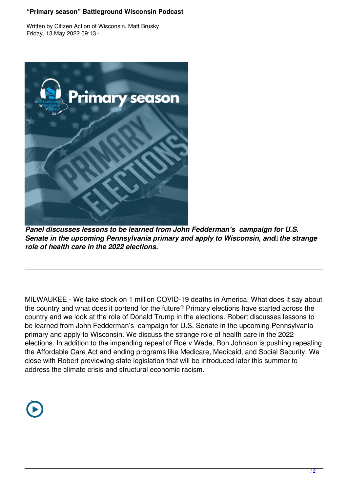## **"Primary season" Battleground Wisconsin Podcast**

Written by Citizen Action of Wisconsin, Matt Brusky Friday, 13 May 2022 09:13 -



*Panel discusses lessons to be learned from John Fedderman's campaign for U.S. Senate in the upcoming Pennsylvania primary and apply to Wisconsin, and the strange role of health care in the 2022 elections.*

MILWAUKEE - We take stock on 1 million COVID-19 deaths in America. What does it say about the country and what does it portend for the future? Primary elections have started across the country and we look at the role of Donald Trump in the elections. Robert discusses lessons to be learned from John Fedderman's campaign for U.S. Senate in the upcoming Pennsylvania primary and apply to Wisconsin. We discuss the strange role of health care in the 2022 elections. In addition to the impending repeal of Roe v Wade, Ron Johnson is pushing repealing the Affordable Care Act and ending programs like Medicare, Medicaid, and Social Security. We close with Robert previewing state legislation that will be introduced later this summer to address the climate crisis and structural economic racism.